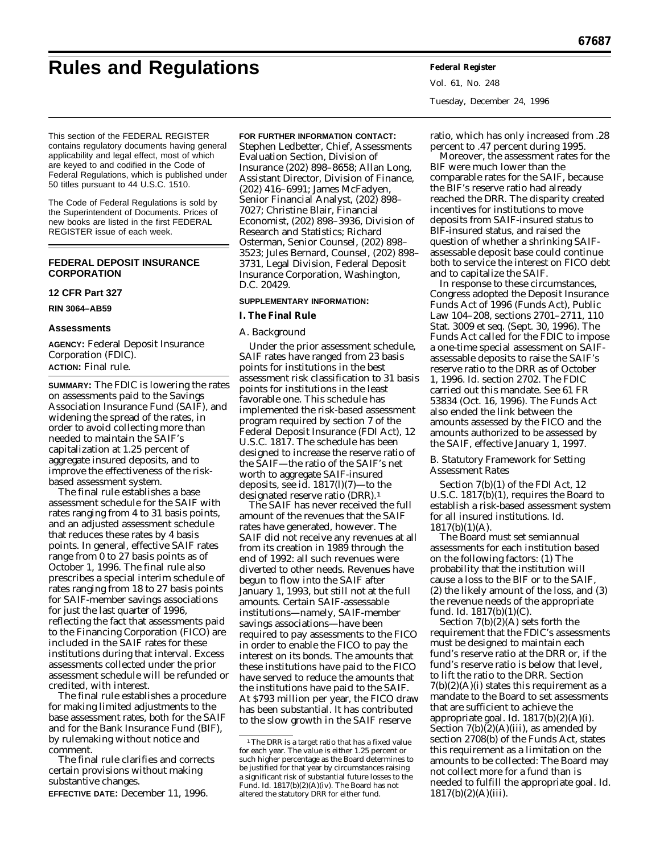# **Rules and Regulations Federal Register**

Vol. 61, No. 248 Tuesday, December 24, 1996

This section of the FEDERAL REGISTER contains regulatory documents having general applicability and legal effect, most of which are keyed to and codified in the Code of Federal Regulations, which is published under 50 titles pursuant to 44 U.S.C. 1510.

The Code of Federal Regulations is sold by the Superintendent of Documents. Prices of new books are listed in the first FEDERAL REGISTER issue of each week.

## **FEDERAL DEPOSIT INSURANCE CORPORATION**

## **12 CFR Part 327**

**RIN 3064–AB59**

#### **Assessments**

**AGENCY:** Federal Deposit Insurance Corporation (FDIC). **ACTION:** Final rule.

**SUMMARY:** The FDIC is lowering the rates on assessments paid to the Savings Association Insurance Fund (SAIF), and widening the spread of the rates, in order to avoid collecting more than needed to maintain the SAIF's capitalization at 1.25 percent of aggregate insured deposits, and to improve the effectiveness of the riskbased assessment system.

The final rule establishes a base assessment schedule for the SAIF with rates ranging from 4 to 31 basis points, and an adjusted assessment schedule that reduces these rates by 4 basis points. In general, effective SAIF rates range from 0 to 27 basis points as of October 1, 1996. The final rule also prescribes a special interim schedule of rates ranging from 18 to 27 basis points for SAIF-member savings associations for just the last quarter of 1996, reflecting the fact that assessments paid to the Financing Corporation (FICO) are included in the SAIF rates for these institutions during that interval. Excess assessments collected under the prior assessment schedule will be refunded or credited, with interest.

The final rule establishes a procedure for making limited adjustments to the base assessment rates, both for the SAIF and for the Bank Insurance Fund (BIF), by rulemaking without notice and comment.

The final rule clarifies and corrects certain provisions without making substantive changes.

**EFFECTIVE DATE:** December 11, 1996.

## **FOR FURTHER INFORMATION CONTACT:**

Stephen Ledbetter, Chief, Assessments Evaluation Section, Division of Insurance (202) 898–8658; Allan Long, Assistant Director, Division of Finance, (202) 416–6991; James McFadyen, Senior Financial Analyst, (202) 898– 7027; Christine Blair, Financial Economist, (202) 898–3936, Division of Research and Statistics; Richard Osterman, Senior Counsel, (202) 898– 3523; Jules Bernard, Counsel, (202) 898– 3731, Legal Division, Federal Deposit Insurance Corporation, Washington, D.C. 20429.

## **SUPPLEMENTARY INFORMATION:**

**I. The Final Rule**

#### *A. Background*

Under the prior assessment schedule, SAIF rates have ranged from 23 basis points for institutions in the best assessment risk classification to 31 basis points for institutions in the least favorable one. This schedule has implemented the risk-based assessment program required by section 7 of the Federal Deposit Insurance (FDI Act), 12 U.S.C. 1817. The schedule has been designed to increase the reserve ratio of the SAIF—the ratio of the SAIF's net worth to aggregate SAIF-insured deposits, see id. 1817(l)(7)—to the designated reserve ratio (DRR).1

The SAIF has never received the full amount of the revenues that the SAIF rates have generated, however. The SAIF did not receive any revenues at all from its creation in 1989 through the end of 1992: all such revenues were diverted to other needs. Revenues have begun to flow into the SAIF after January 1, 1993, but still not at the full amounts. Certain SAIF-assessable institutions—namely, SAIF-member savings associations—have been required to pay assessments to the FICO in order to enable the FICO to pay the interest on its bonds. The amounts that these institutions have paid to the FICO have served to reduce the amounts that the institutions have paid to the SAIF. At \$793 million per year, the FICO draw has been substantial. It has contributed to the slow growth in the SAIF reserve

ratio, which has only increased from .28 percent to .47 percent during 1995.

Moreover, the assessment rates for the BIF were much lower than the comparable rates for the SAIF, because the BIF's reserve ratio had already reached the DRR. The disparity created incentives for institutions to move deposits from SAIF-insured status to BIF-insured status, and raised the question of whether a shrinking SAIFassessable deposit base could continue both to service the interest on FICO debt and to capitalize the SAIF.

In response to these circumstances, Congress adopted the Deposit Insurance Funds Act of 1996 (Funds Act), Public Law 104–208, sections 2701–2711, 110 Stat. 3009 *et seq*. (Sept. 30, 1996). The Funds Act called for the FDIC to impose a one-time special assessment on SAIFassessable deposits to raise the SAIF's reserve ratio to the DRR as of October 1, 1996. *Id*. section 2702. The FDIC carried out this mandate. See 61 FR 53834 (Oct. 16, 1996). The Funds Act also ended the link between the amounts assessed by the FICO and the amounts authorized to be assessed by the SAIF, effective January 1, 1997.

## *B. Statutory Framework for Setting Assessment Rates*

Section 7(b)(1) of the FDI Act, 12 U.S.C. 1817(b)(1), requires the Board to establish a risk-based assessment system for all insured institutions. *Id*. 1817(b)(1)(A).

The Board must set semiannual assessments for each institution based on the following factors: (1) The probability that the institution will cause a loss to the BIF or to the SAIF, (2) the likely amount of the loss, and (3) the revenue needs of the appropriate fund. Id. 1817(b)(1)(C).

Section  $7(b)(2)(A)$  sets forth the requirement that the FDIC's assessments must be designed to maintain each fund's reserve ratio at the DRR or, if the fund's reserve ratio is below that level, to lift the ratio to the DRR. Section  $7(b)(2)(A)(i)$  states this requirement as a mandate to the Board to set assessments that are sufficient to achieve the appropriate goal. *Id*. 1817(b)(2)(A)(i). Section  $7(b)(2)(A)(iii)$ , as amended by section 2708(b) of the Funds Act, states this requirement as a limitation on the amounts to be collected: The Board may not collect more for a fund than is needed to fulfill the appropriate goal. *Id*.  $1817(b)(2)(A)(iii)$ .

<sup>&</sup>lt;sup>1</sup>The DRR is a target ratio that has a fixed value for each year. The value is either 1.25 percent or such higher percentage as the Board determines to be justified for that year by circumstances raising a significant risk of substantial future losses to the Fund. *Id*. 1817(b)(2)(A)(iv). The Board has not altered the statutory DRR for either fund.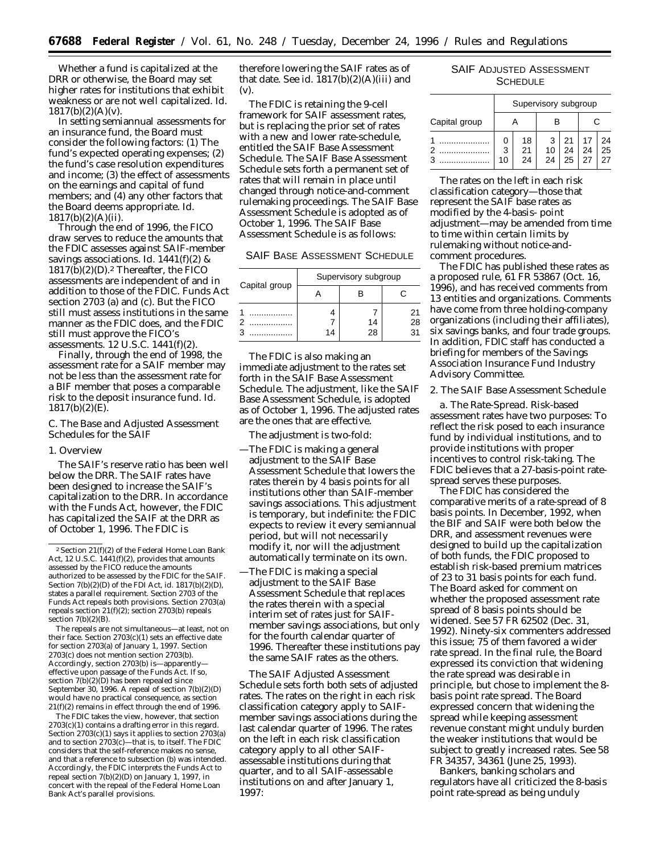Whether a fund is capitalized at the DRR or otherwise, the Board may set higher rates for institutions that exhibit weakness or are not well capitalized. *Id*.  $1817(b)(2)(A)(v)$ .

In setting semiannual assessments for an insurance fund, the Board must consider the following factors: (1) The fund's expected operating expenses; (2) the fund's case resolution expenditures and income; (3) the effect of assessments on the earnings and capital of fund members; and (4) any other factors that the Board deems appropriate. *Id*. 1817(b)(2)(A)(ii).

Through the end of 1996, the FICO draw serves to reduce the amounts that the FDIC assesses against SAIF-member savings associations. *Id*. 1441(f)(2) &  $1817(b)(2)(D).<sup>2</sup> Thereafter, the FICO$ assessments are independent of and in addition to those of the FDIC. Funds Act section 2703 (a) and (c). But the FICO still must assess institutions in the same manner as the FDIC does, and the FDIC still must approve the FICO's assessments. 12 U.S.C. 1441(f)(2).

Finally, through the end of 1998, the assessment rate for a SAIF member may not be less than the assessment rate for a BIF member that poses a comparable risk to the deposit insurance fund. *Id*.  $1817(b)(2)(E)$ .

#### *C. The Base and Adjusted Assessment Schedules for the SAIF*

#### 1. Overview

The SAIF's reserve ratio has been well below the DRR. The SAIF rates have been designed to increase the SAIF's capitalization to the DRR. In accordance with the Funds Act, however, the FDIC has capitalized the SAIF at the DRR as of October 1, 1996. The FDIC is

The repeals are not simultaneous—at least, not on their face. Section 2703(c)(1) sets an effective date for section 2703(a) of January 1, 1997. Section 2703(c) does not mention section 2703(b). Accordingly, section 2703(b) is—apparently effective upon passage of the Funds Act. If so, section  $7(b)(2)(D)$  has been repealed since September 30, 1996. A repeal of section 7(b)(2)(D) would have no practical consequence, as section 21(f)(2) remains in effect through the end of 1996.

The FDIC takes the view, however, that section 2703(c)(1) contains a drafting error in this regard. Section 2703(c)(1) says it applies to section 2703(a) and to section 2703(c)—that is, to itself. The FDIC considers that the self-reference makes no sense, and that a reference to subsection (b) was intended. Accordingly, the FDIC interprets the Funds Act to repeal section 7(b)(2)(D) on January 1, 1997, in concert with the repeal of the Federal Home Loan Bank Act's parallel provisions.

therefore lowering the SAIF rates as of that date. See *id.* 1817(b)(2)(A)(iii) and (v).

The FDIC is retaining the 9-cell framework for SAIF assessment rates, but is replacing the prior set of rates with a new and lower rate-schedule, entitled the SAIF Base Assessment Schedule. The SAIF Base Assessment Schedule sets forth a permanent set of rates that will remain in place until changed through notice-and-comment rulemaking proceedings. The SAIF Base Assessment Schedule is adopted as of October 1, 1996. The SAIF Base Assessment Schedule is as follows:

SAIF BASE ASSESSMENT SCHEDULE

|               | Supervisory subgroup |          |          |  |  |
|---------------|----------------------|----------|----------|--|--|
| Capital group |                      |          |          |  |  |
|               |                      |          | 21       |  |  |
|               | 14                   | 14<br>28 | 28<br>۹1 |  |  |

The FDIC is also making an immediate adjustment to the rates set forth in the SAIF Base Assessment Schedule. The adjustment, like the SAIF Base Assessment Schedule, is adopted as of October 1, 1996. The adjusted rates are the ones that are effective.

The adjustment is two-fold:

- —The FDIC is making a general adjustment to the SAIF Base Assessment Schedule that lowers the rates therein by 4 basis points for all institutions other than SAIF-member savings associations. This adjustment is temporary, but indefinite: the FDIC expects to review it every semiannual period, but will not necessarily modify it, nor will the adjustment automatically terminate on its own.
- —The FDIC is making a special adjustment to the SAIF Base Assessment Schedule that replaces the rates therein with a special interim set of rates just for SAIFmember savings associations, but only for the fourth calendar quarter of 1996. Thereafter these institutions pay the same SAIF rates as the others.

The SAIF Adjusted Assessment Schedule sets forth both sets of adjusted rates. The rates on the right in each risk classification category apply to SAIFmember savings associations during the last calendar quarter of 1996. The rates on the left in each risk classification category apply to all other SAIFassessable institutions during that quarter, and to all SAIF-assessable institutions on and after January 1, 1997:

## SAIF ADJUSTED ASSESSMENT **SCHEDULE**

|               | Supervisory subgroup |                |               |                |                |                |
|---------------|----------------------|----------------|---------------|----------------|----------------|----------------|
| Capital group |                      |                | в             |                |                |                |
|               | 3<br>10              | 18<br>21<br>24 | 3<br>10<br>24 | 21<br>24<br>25 | 17<br>24<br>27 | 24<br>25<br>27 |

The rates on the left in each risk classification category—those that represent the SAIF base rates as modified by the 4-basis- point adjustment—may be amended from time to time within certain limits by rulemaking without notice-andcomment procedures.

The FDIC has published these rates as a proposed rule, 61 FR 53867 (Oct. 16, 1996), and has received comments from 13 entities and organizations. Comments have come from three holding-company organizations (including their affiliates), six savings banks, and four trade groups. In addition, FDIC staff has conducted a briefing for members of the Savings Association Insurance Fund Industry Advisory Committee.

## 2. The SAIF Base Assessment Schedule

*a. The Rate-Spread*. Risk-based assessment rates have two purposes: To reflect the risk posed to each insurance fund by individual institutions, and to provide institutions with proper incentives to control risk-taking. The FDIC believes that a 27-basis-point ratespread serves these purposes.

The FDIC has considered the comparative merits of a rate-spread of 8 basis points. In December, 1992, when the BIF and SAIF were both below the DRR, and assessment revenues were designed to build up the capitalization of both funds, the FDIC proposed to establish risk-based premium matrices of 23 to 31 basis points for each fund. The Board asked for comment on whether the proposed assessment rate spread of 8 basis points should be widened. See 57 FR 62502 (Dec. 31, 1992). Ninety-six commenters addressed this issue; 75 of them favored a wider rate spread. In the final rule, the Board expressed its conviction that widening the rate spread was desirable in principle, but chose to implement the 8 basis point rate spread. The Board expressed concern that widening the spread while keeping assessment revenue constant might unduly burden the weaker institutions that would be subject to greatly increased rates. See 58 FR 34357, 34361 (June 25, 1993).

Bankers, banking scholars and regulators have all criticized the 8-basis point rate-spread as being unduly

 $2$  Section  $21(f)(2)$  of the Federal Home Loan Bank Act, 12 U.S.C. 1441(f)(2), provides that amounts assessed by the FICO reduce the amounts authorized to be assessed by the FDIC for the SAIF. Section 7(b)(2)(D) of the FDI Act, *id*. 1817(b)(2)(D), states a parallel requirement. Section 2703 of the Funds Act repeals both provisions. Section 2703(a) repeals section 21(f)(2); section 2703(b) repeals section  $7(b)(2)(B)$ .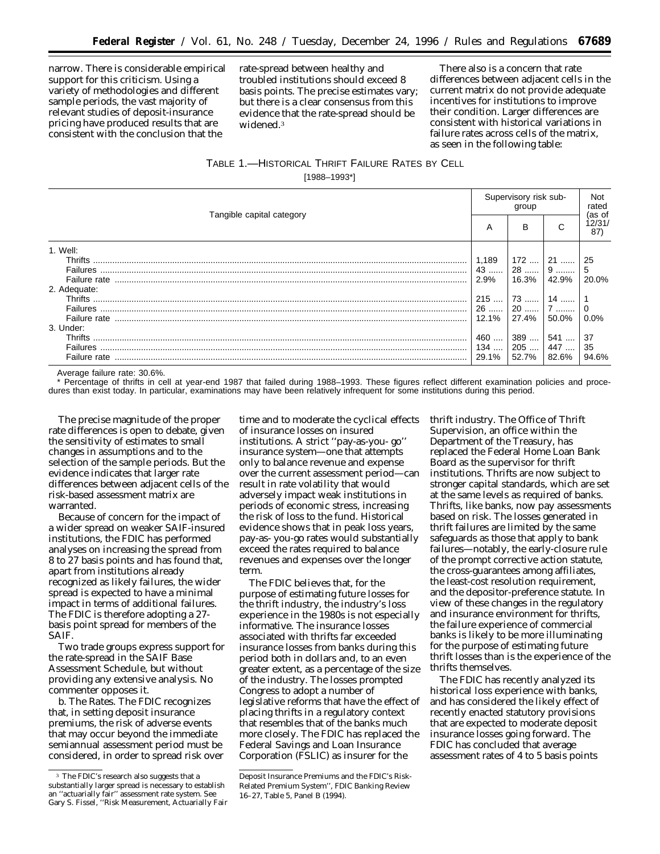narrow. There is considerable empirical support for this criticism. Using a variety of methodologies and different sample periods, the vast majority of relevant studies of deposit-insurance pricing have produced results that are consistent with the conclusion that the

rate-spread between healthy and troubled institutions should exceed 8 basis points. The precise estimates vary; but there is a clear consensus from this evidence that the rate-spread should be widened.3

There also is a concern that rate differences between adjacent cells in the current matrix do not provide adequate incentives for institutions to improve their condition. Larger differences are consistent with historical variations in failure rates across cells of the matrix, as seen in the following table:

# TABLE 1.—HISTORICAL THRIFT FAILURE RATES BY CELL [1988–1993\*]

|                           | Supervisory risk sub-<br>group |       |       | Not<br>rated<br>(as of |
|---------------------------|--------------------------------|-------|-------|------------------------|
| Tangible capital category |                                | В     | С     | 12/31/<br>87)          |
| 1. Well:                  |                                |       |       |                        |
|                           | 1.189                          | 172   | $21$  | 25                     |
|                           | 43                             | 28    | . 9   | 5                      |
| Failure rate              | 2.9%                           | 16.3% | 42.9% | 20.0%                  |
| 2. Adequate:              |                                |       |       |                        |
|                           | $215$                          | $73$  | 14    |                        |
|                           | 26                             | 20    | $17$  | $\Omega$               |
| Failure rate              | 12.1%                          | 27.4% | 50.0% | 0.0%                   |
| 3. Under:                 |                                |       |       |                        |
|                           | 460                            | 389   | 541   | 37                     |
|                           | 134                            | $205$ | 447   | 35                     |
| Failure rate              | 29.1%                          | 52.7% | 82.6% | 94.6%                  |

Average failure rate: 30.6%.

Percentage of thrifts in cell at year-end 1987 that failed during 1988–1993. These figures reflect different examination policies and procedures than exist today. In particular, examinations may have been relatively infrequent for some institutions during this period.

The precise magnitude of the proper rate differences is open to debate, given the sensitivity of estimates to small changes in assumptions and to the selection of the sample periods. But the evidence indicates that larger rate differences between adjacent cells of the risk-based assessment matrix are warranted.

Because of concern for the impact of a wider spread on weaker SAIF-insured institutions, the FDIC has performed analyses on increasing the spread from 8 to 27 basis points and has found that, apart from institutions already recognized as likely failures, the wider spread is expected to have a minimal impact in terms of additional failures. The FDIC is therefore adopting a 27 basis point spread for members of the SAIF.

Two trade groups express support for the rate-spread in the SAIF Base Assessment Schedule, but without providing any extensive analysis. No commenter opposes it.

*b. The Rates.* The FDIC recognizes that, in setting deposit insurance premiums, the risk of adverse events that may occur beyond the immediate semiannual assessment period must be considered, in order to spread risk over

time and to moderate the cyclical effects of insurance losses on insured institutions. A strict ''pay-as-you- go'' insurance system—one that attempts only to balance revenue and expense over the current assessment period—can result in rate volatility that would adversely impact weak institutions in periods of economic stress, increasing the risk of loss to the fund. Historical evidence shows that in peak loss years, pay-as- you-go rates would substantially exceed the rates required to balance revenues and expenses over the longer term.

The FDIC believes that, for the purpose of estimating future losses for the thrift industry, the industry's loss experience in the 1980s is not especially informative. The insurance losses associated with thrifts far exceeded insurance losses from banks during this period both in dollars and, to an even greater extent, as a percentage of the size of the industry. The losses prompted Congress to adopt a number of legislative reforms that have the effect of placing thrifts in a regulatory context that resembles that of the banks much more closely. The FDIC has replaced the Federal Savings and Loan Insurance Corporation (FSLIC) as insurer for the

thrift industry. The Office of Thrift Supervision, an office within the Department of the Treasury, has replaced the Federal Home Loan Bank Board as the supervisor for thrift institutions. Thrifts are now subject to stronger capital standards, which are set at the same levels as required of banks. Thrifts, like banks, now pay assessments based on risk. The losses generated in thrift failures are limited by the same safeguards as those that apply to bank failures—notably, the early-closure rule of the prompt corrective action statute, the cross-guarantees among affiliates, the least-cost resolution requirement, and the depositor-preference statute. In view of these changes in the regulatory and insurance environment for thrifts, the failure experience of commercial banks is likely to be more illuminating for the purpose of estimating future thrift losses than is the experience of the thrifts themselves.

The FDIC has recently analyzed its historical loss experience with banks, and has considered the likely effect of recently enacted statutory provisions that are expected to moderate deposit insurance losses going forward. The FDIC has concluded that average assessment rates of 4 to 5 basis points

 $^{\rm 3}$  The FDIC's research also suggests that a substantially larger spread is necessary to establish an ''actuarially fair'' assessment rate system. See Gary S. Fissel, ''Risk Measurement, Actuarially Fair

Deposit Insurance Premiums and the FDIC's Risk-Related Premium System'', *FDIC Banking Review* 16–27, Table 5, Panel B (1994).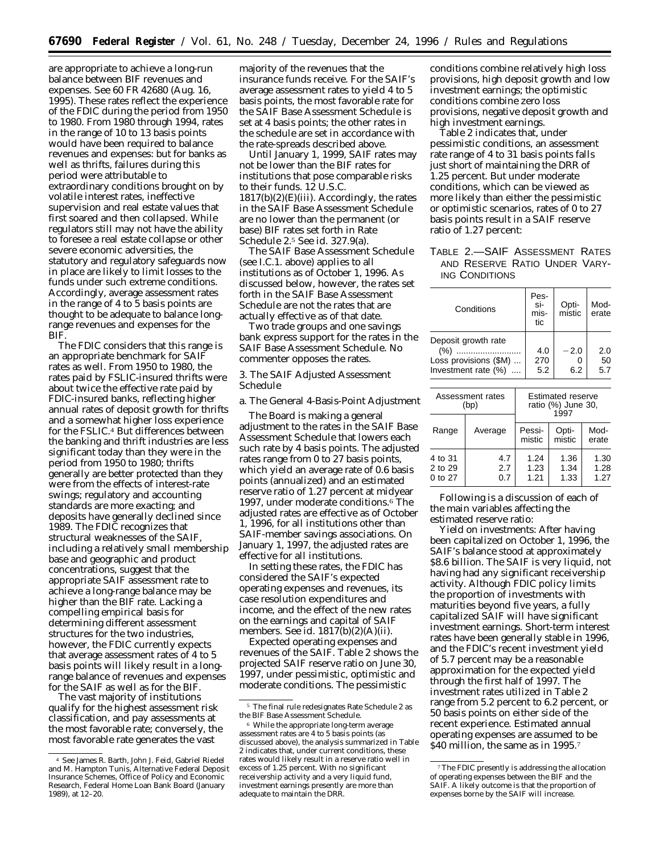are appropriate to achieve a long-run balance between BIF revenues and expenses. See 60 FR 42680 (Aug. 16, 1995). These rates reflect the experience of the FDIC during the period from 1950 to 1980. From 1980 through 1994, rates in the range of 10 to 13 basis points would have been required to balance revenues and expenses: but for banks as well as thrifts, failures during this period were attributable to extraordinary conditions brought on by volatile interest rates, ineffective supervision and real estate values that first soared and then collapsed. While regulators still may not have the ability to foresee a real estate collapse or other severe economic adversities, the statutory and regulatory safeguards now in place are likely to limit losses to the funds under such extreme conditions. Accordingly, average assessment rates in the range of 4 to 5 basis points are thought to be adequate to balance longrange revenues and expenses for the **BIF** 

The FDIC considers that this range is an appropriate benchmark for SAIF rates as well. From 1950 to 1980, the rates paid by FSLIC-insured thrifts were about twice the effective rate paid by FDIC-insured banks, reflecting higher annual rates of deposit growth for thrifts and a somewhat higher loss experience for the FSLIC.4 But differences between the banking and thrift industries are less significant today than they were in the period from 1950 to 1980; thrifts generally are better protected than they were from the effects of interest-rate swings; regulatory and accounting standards are more exacting; and deposits have generally declined since 1989. The FDIC recognizes that structural weaknesses of the SAIF, including a relatively small membership base and geographic and product concentrations, suggest that the appropriate SAIF assessment rate to achieve a long-range balance may be higher than the BIF rate. Lacking a compelling empirical basis for determining different assessment structures for the two industries, however, the FDIC currently expects that average assessment rates of 4 to 5 basis points will likely result in a longrange balance of revenues and expenses for the SAIF as well as for the BIF.

The vast majority of institutions qualify for the highest assessment risk classification, and pay assessments at the most favorable rate; conversely, the most favorable rate generates the vast

majority of the revenues that the insurance funds receive. For the SAIF's average assessment rates to yield 4 to 5 basis points, the most favorable rate for the SAIF Base Assessment Schedule is set at 4 basis points; the other rates in the schedule are set in accordance with the rate-spreads described above.

Until January 1, 1999, SAIF rates may not be lower than the BIF rates for institutions that pose comparable risks to their funds. 12 U.S.C.  $1817(b)(2)(E(iii)$ . Accordingly, the rates in the SAIF Base Assessment Schedule are no lower than the permanent (or base) BIF rates set forth in Rate Schedule 2.5 See id. 327.9(a).

The SAIF Base Assessment Schedule (see I.C.1. above) applies to all institutions as of October 1, 1996. As discussed below, however, the rates set forth in the SAIF Base Assessment Schedule are not the rates that are actually effective as of that date.

Two trade groups and one savings bank express support for the rates in the SAIF Base Assessment Schedule. No commenter opposes the rates.

3. The SAIF Adjusted Assessment Schedule

a. The General 4-Basis-Point Adjustment

The Board is making a general adjustment to the rates in the SAIF Base Assessment Schedule that lowers each such rate by 4 basis points. The adjusted rates range from 0 to 27 basis points, which yield an average rate of 0.6 basis points (annualized) and an estimated reserve ratio of 1.27 percent at midyear 1997, under moderate conditions.6 The adjusted rates are effective as of October 1, 1996, for all institutions other than SAIF-member savings associations. On January 1, 1997, the adjusted rates are effective for all institutions.

In setting these rates, the FDIC has considered the SAIF's expected operating expenses and revenues, its case resolution expenditures and income, and the effect of the new rates on the earnings and capital of SAIF members. See id. 1817(b)(2)(A)(ii).

Expected operating expenses and revenues of the SAIF. Table 2 shows the projected SAIF reserve ratio on June 30, 1997, under pessimistic, optimistic and moderate conditions. The pessimistic

conditions combine relatively high loss provisions, high deposit growth and low investment earnings; the optimistic conditions combine zero loss provisions, negative deposit growth and high investment earnings.

Table 2 indicates that, under pessimistic conditions, an assessment rate range of 4 to 31 basis points falls just short of maintaining the DRR of 1.25 percent. But under moderate conditions, which can be viewed as more likely than either the pessimistic or optimistic scenarios, rates of 0 to 27 basis points result in a SAIF reserve ratio of 1.27 percent:

## TABLE 2.—SAIF ASSESSMENT RATES AND RESERVE RATIO UNDER VARY-ING CONDITIONS

| Conditions                                                                     | Pes-<br>si-<br>mis-<br>tic | Opti-<br>mistic | Mod-<br>erate    |
|--------------------------------------------------------------------------------|----------------------------|-----------------|------------------|
| Deposit growth rate<br>(%)<br><br>Loss provisions (\$M)<br>Investment rate (%) | 4.0<br>270<br>5.2          | $-2.0$<br>6.2   | 2.0<br>50<br>5.7 |

|                               | Assessment rates<br>(bp) | <b>Estimated reserve</b><br>ratio (%) June 30,<br>1997 |                      |                      |
|-------------------------------|--------------------------|--------------------------------------------------------|----------------------|----------------------|
| Range                         | Average                  | Pessi-<br>mistic                                       | Opti-<br>mistic      | Mod-<br>erate        |
| 4 to 31<br>2 to 29<br>0 to 27 | 4.7<br>2.7<br>0.7        | 1.24<br>1.23<br>1.21                                   | 1.36<br>1.34<br>1.33 | 1.30<br>1.28<br>1.27 |

Following is a discussion of each of the main variables affecting the estimated reserve ratio:

*Yield on investments:* After having been capitalized on October 1, 1996, the SAIF's balance stood at approximately \$8.6 billion. The SAIF is very liquid, not having had any significant receivership activity. Although FDIC policy limits the proportion of investments with maturities beyond five years, a fully capitalized SAIF will have significant investment earnings. Short-term interest rates have been generally stable in 1996, and the FDIC's recent investment yield of 5.7 percent may be a reasonable approximation for the expected yield through the first half of 1997. The investment rates utilized in Table 2 range from 5.2 percent to 6.2 percent, or 50 basis points on either side of the recent experience. Estimated annual operating expenses are assumed to be \$40 million, the same as in 1995.7

<sup>4</sup> See James R. Barth, John J. Feid, Gabriel Riedel and M. Hampton Tunis, Alternative Federal Deposit Insurance Schemes, Office of Policy and Economic Research, Federal Home Loan Bank Board (January 1989), at 12–20.

<sup>5</sup> The final rule redesignates Rate Schedule 2 as the BIF Base Assessment Schedule.

<sup>6</sup> While the appropriate long-term average assessment rates are 4 to 5 basis points (as discussed above), the analysis summarized in Table 2 indicates that, under current conditions, these rates would likely result in a reserve ratio well in excess of 1.25 percent. With no significant receivership activity and a very liquid fund, investment earnings presently are more than adequate to maintain the DRR.

<sup>7</sup>The FDIC presently is addressing the allocation of operating expenses between the BIF and the SAIF. A likely outcome is that the proportion of expenses borne by the SAIF will increase.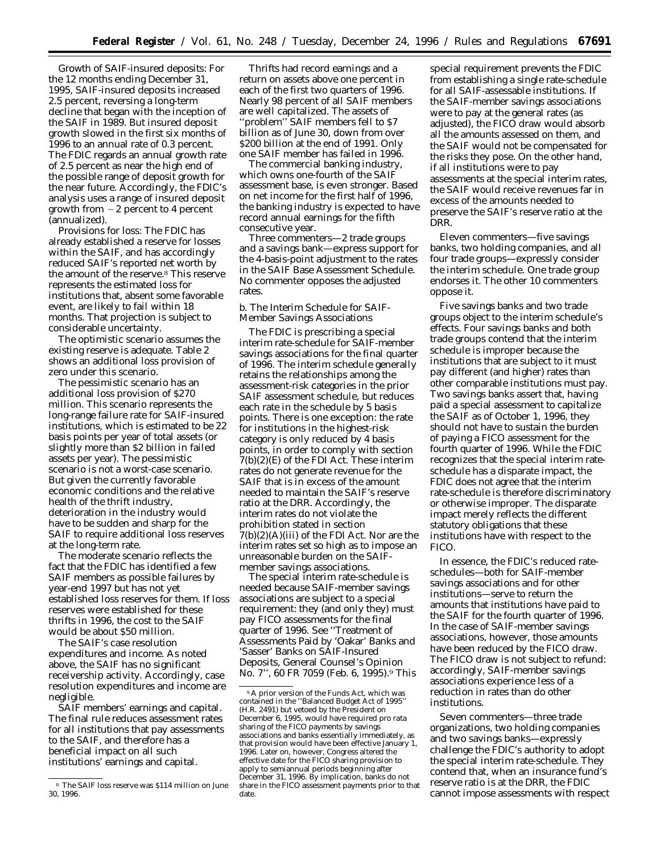*Growth of SAIF-insured deposits:* For the 12 months ending December 31, 1995, SAIF-insured deposits increased 2.5 percent, reversing a long-term decline that began with the inception of the SAIF in 1989. But insured deposit growth slowed in the first six months of 1996 to an annual rate of 0.3 percent. The FDIC regards an annual growth rate of 2.5 percent as near the high end of the possible range of deposit growth for the near future. Accordingly, the FDIC's analysis uses a range of insured deposit growth from  $-2$  percent to 4 percent (annualized).

*Provisions for loss:* The FDIC has already established a reserve for losses within the SAIF, and has accordingly reduced SAIF's reported net worth by the amount of the reserve.8 This reserve represents the estimated loss for institutions that, absent some favorable event, are likely to fail within 18 months. That projection is subject to considerable uncertainty.

The optimistic scenario assumes the existing reserve is adequate. Table 2 shows an additional loss provision of zero under this scenario.

The pessimistic scenario has an additional loss provision of \$270 million. This scenario represents the long-range failure rate for SAIF-insured institutions, which is estimated to be 22 basis points per year of total assets (or slightly more than \$2 billion in failed assets per year). The pessimistic scenario is not a worst-case scenario. But given the currently favorable economic conditions and the relative health of the thrift industry, deterioration in the industry would have to be sudden and sharp for the SAIF to require additional loss reserves at the long-term rate.

The moderate scenario reflects the fact that the FDIC has identified a few SAIF members as possible failures by year-end 1997 but has not yet established loss reserves for them. If loss reserves were established for these thrifts in 1996, the cost to the SAIF would be about \$50 million.

The SAIF's case resolution expenditures and income. As noted above, the SAIF has no significant receivership activity. Accordingly, case resolution expenditures and income are negligible.

SAIF members' earnings and capital. The final rule reduces assessment rates for all institutions that pay assessments to the SAIF, and therefore has a beneficial impact on all such institutions' earnings and capital.

Thrifts had record earnings and a return on assets above one percent in each of the first two quarters of 1996. Nearly 98 percent of all SAIF members are well capitalized. The assets of ''problem'' SAIF members fell to \$7 billion as of June 30, down from over \$200 billion at the end of 1991. Only one SAIF member has failed in 1996.

The commercial banking industry, which owns one-fourth of the SAIF assessment base, is even stronger. Based on net income for the first half of 1996, the banking industry is expected to have record annual earnings for the fifth consecutive year.

Three commenters—2 trade groups and a savings bank—express support for the 4-basis-point adjustment to the rates in the SAIF Base Assessment Schedule. No commenter opposes the adjusted rates.

b. The Interim Schedule for SAIF-Member Savings Associations

The FDIC is prescribing a special interim rate-schedule for SAIF-member savings associations for the final quarter of 1996. The interim schedule generally retains the relationships among the assessment-risk categories in the prior SAIF assessment schedule, but reduces each rate in the schedule by 5 basis points. There is one exception: the rate for institutions in the highest-risk category is only reduced by 4 basis points, in order to comply with section 7(b)(2)(E) of the FDI Act. These interim rates do not generate revenue for the SAIF that is in excess of the amount needed to maintain the SAIF's reserve ratio at the DRR. Accordingly, the interim rates do not violate the prohibition stated in section  $7(b)(2)(A)(iii)$  of the FDI Act. Nor are the interim rates set so high as to impose an unreasonable burden on the SAIFmember savings associations.

The special interim rate-schedule is needed because SAIF-member savings associations are subject to a special requirement: they (and only they) must pay FICO assessments for the final quarter of 1996. See ''Treatment of Assessments Paid by 'Oakar' Banks and 'Sasser' Banks on SAIF-Insured Deposits, General Counsel's Opinion No. 7'', 60 FR 7059 (Feb. 6, 1995).9 This special requirement prevents the FDIC from establishing a single rate-schedule for all SAIF-assessable institutions. If the SAIF-member savings associations were to pay at the general rates (as adjusted), the FICO draw would absorb all the amounts assessed on them, and the SAIF would not be compensated for the risks they pose. On the other hand, if all institutions were to pay assessments at the special interim rates, the SAIF would receive revenues far in excess of the amounts needed to preserve the SAIF's reserve ratio at the DRR.

Eleven commenters—five savings banks, two holding companies, and all four trade groups—expressly consider the interim schedule. One trade group endorses it. The other 10 commenters oppose it.

Five savings banks and two trade groups object to the interim schedule's effects. Four savings banks and both trade groups contend that the interim schedule is improper because the institutions that are subject to it must pay different (and higher) rates than other comparable institutions must pay. Two savings banks assert that, having paid a special assessment to capitalize the SAIF as of October 1, 1996, they should not have to sustain the burden of paying a FICO assessment for the fourth quarter of 1996. While the FDIC recognizes that the special interim rateschedule has a disparate impact, the FDIC does not agree that the interim rate-schedule is therefore discriminatory or otherwise improper. The disparate impact merely reflects the different statutory obligations that these institutions have with respect to the FICO.

In essence, the FDIC's reduced rateschedules—both for SAIF-member savings associations and for other institutions—serve to return the amounts that institutions have paid to the SAIF for the fourth quarter of 1996. In the case of SAIF-member savings associations, however, those amounts have been reduced by the FICO draw. The FICO draw is not subject to refund: accordingly, SAIF-member savings associations experience less of a reduction in rates than do other institutions.

Seven commenters—three trade organizations, two holding companies and two savings banks—expressly challenge the FDIC's authority to adopt the special interim rate-schedule. They contend that, when an insurance fund's reserve ratio is at the DRR, the FDIC cannot impose assessments with respect

<sup>8</sup> The SAIF loss reserve was \$114 million on June 30, 1996.

<sup>9</sup>A prior version of the Funds Act, which was contained in the ''Balanced Budget Act of 1995'' (H.R. 2491) but vetoed by the President on December 6, 1995, would have required *pro rata* sharing of the FICO payments by savings associations and banks essentially immediately, as that provision would have been effective January 1, 1996. Later on, however, Congress altered the effective date for the FICO sharing provision to apply to semiannual periods beginning after December 31, 1996. By implication, banks do not share in the FICO assessment payments prior to that date.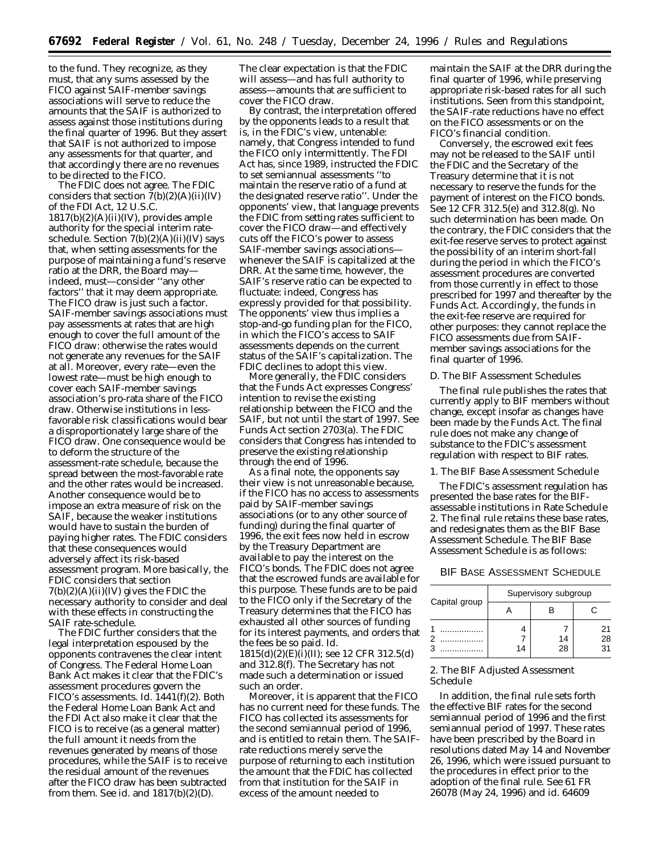to the fund. They recognize, as they must, that any sums assessed by the FICO against SAIF-member savings associations will serve to reduce the amounts that the SAIF is authorized to assess against those institutions during the final quarter of 1996. But they assert that SAIF is not authorized to impose any assessments for that quarter, and that accordingly there are no revenues to be directed to the FICO.

The FDIC does not agree. The FDIC considers that section  $7(b)(2)(A)(ii)(IV)$ of the FDI Act, 12 U.S.C.  $1817(b)(2)(A)(ii)(IV)$ , provides ample authority for the special interim rateschedule. Section 7(b)(2)(A)(ii)(IV) says that, when setting assessments for the purpose of maintaining a fund's reserve ratio at the DRR, the Board may indeed, must—consider ''any other factors'' that it may deem appropriate. The FICO draw is just such a factor. SAIF-member savings associations must pay assessments at rates that are high enough to cover the full amount of the FICO draw: otherwise the rates would not generate any revenues for the SAIF at all. Moreover, every rate—even the lowest rate—must be high enough to cover each SAIF-member savings association's pro-rata share of the FICO draw. Otherwise institutions in lessfavorable risk classifications would bear a disproportionately large share of the FICO draw. One consequence would be to deform the structure of the assessment-rate schedule, because the spread between the most-favorable rate and the other rates would be increased. Another consequence would be to impose an extra measure of risk on the SAIF, because the weaker institutions would have to sustain the burden of paying higher rates. The FDIC considers that these consequences would adversely affect its risk-based assessment program. More basically, the FDIC considers that section  $7(b)(2)(A)(ii)(IV)$  gives the FDIC the necessary authority to consider and deal with these effects in constructing the SAIF rate-schedule.

The FDIC further considers that the legal interpretation espoused by the opponents contravenes the clear intent of Congress. The Federal Home Loan Bank Act makes it clear that the FDIC's assessment procedures govern the FICO's assessments. *Id.* 1441(f)(2). Both the Federal Home Loan Bank Act and the FDI Act also make it clear that the FICO is to receive (as a general matter) the full amount it needs from the revenues generated by means of those procedures, while the SAIF is to receive the residual amount of the revenues after the FICO draw has been subtracted from them. See *id.* and 1817(b)(2)(D).

The clear expectation is that the FDIC will assess—and has full authority to assess—amounts that are sufficient to cover the FICO draw.

By contrast, the interpretation offered by the opponents leads to a result that is, in the FDIC's view, untenable: namely, that Congress intended to fund the FICO only intermittently. The FDI Act has, since 1989, instructed the FDIC to set semiannual assessments ''to maintain the reserve ratio of a fund at the designated reserve ratio''. Under the opponents' view, that language prevents the FDIC from setting rates sufficient to cover the FICO draw—and effectively cuts off the FICO's power to assess SAIF-member savings associations whenever the SAIF is capitalized at the DRR. At the same time, however, the SAIF's reserve ratio can be expected to fluctuate: indeed, Congress has expressly provided for that possibility. The opponents' view thus implies a stop-and-go funding plan for the FICO, in which the FICO's access to SAIF assessments depends on the current status of the SAIF's capitalization. The FDIC declines to adopt this view.

More generally, the FDIC considers that the Funds Act expresses Congress' intention to revise the existing relationship between the FICO and the SAIF, but not until the start of 1997. See Funds Act section 2703(a). The FDIC considers that Congress has intended to preserve the existing relationship through the end of 1996.

As a final note, the opponents say their view is not unreasonable because, if the FICO has no access to assessments paid by SAIF-member savings associations (or to any other source of funding) during the final quarter of 1996, the exit fees now held in escrow by the Treasury Department are available to pay the interest on the FICO's bonds. The FDIC does not agree that the escrowed funds are available for this purpose. These funds are to be paid to the FICO only if the Secretary of the Treasury determines that the FICO has exhausted all other sources of funding for its interest payments, and orders that the fees be so paid. *Id.* 1815(d)(2)(E)(i)(II); see 12 CFR 312.5(d) and 312.8(f). The Secretary has not made such a determination or issued such an order.

Moreover, it is apparent that the FICO has no current need for these funds. The FICO has collected its assessments for the second semiannual period of 1996, and is entitled to retain them. The SAIFrate reductions merely serve the purpose of returning to each institution the amount that the FDIC has collected from that institution for the SAIF in excess of the amount needed to

maintain the SAIF at the DRR during the final quarter of 1996, while preserving appropriate risk-based rates for all such institutions. Seen from this standpoint, the SAIF-rate reductions have no effect on the FICO assessments or on the FICO's financial condition.

Conversely, the escrowed exit fees may not be released to the SAIF until the FDIC and the Secretary of the Treasury determine that it is not necessary to reserve the funds for the payment of interest on the FICO bonds. See 12 CFR 312.5(e) and 312.8(g). No such determination has been made. On the contrary, the FDIC considers that the exit-fee reserve serves to protect against the possibility of an interim short-fall during the period in which the FICO's assessment procedures are converted from those currently in effect to those prescribed for 1997 and thereafter by the Funds Act. Accordingly, the funds in the exit-fee reserve are required for other purposes: they cannot replace the FICO assessments due from SAIFmember savings associations for the final quarter of 1996.

#### *D. The BIF Assessment Schedules*

The final rule publishes the rates that currently apply to BIF members without change, except insofar as changes have been made by the Funds Act. The final rule does not make any change of substance to the FDIC's assessment regulation with respect to BIF rates.

#### 1. The BIF Base Assessment Schedule

The FDIC's assessment regulation has presented the base rates for the BIFassessable institutions in Rate Schedule 2. The final rule retains these base rates, and redesignates them as the BIF Base Assessment Schedule. The BIF Base Assessment Schedule is as follows:

#### BIF BASE ASSESSMENT SCHEDULE

|               | Supervisory subgroup |    |          |  |  |
|---------------|----------------------|----|----------|--|--|
| Capital group |                      | н  |          |  |  |
|               |                      | 14 | 21<br>28 |  |  |
|               | 14                   | 28 | 31       |  |  |

## 2. The BIF Adjusted Assessment Schedule

In addition, the final rule sets forth the effective BIF rates for the second semiannual period of 1996 and the first semiannual period of 1997. These rates have been prescribed by the Board in resolutions dated May 14 and November 26, 1996, which were issued pursuant to the procedures in effect prior to the adoption of the final rule. See 61 FR 26078 (May 24, 1996) and *id.* 64609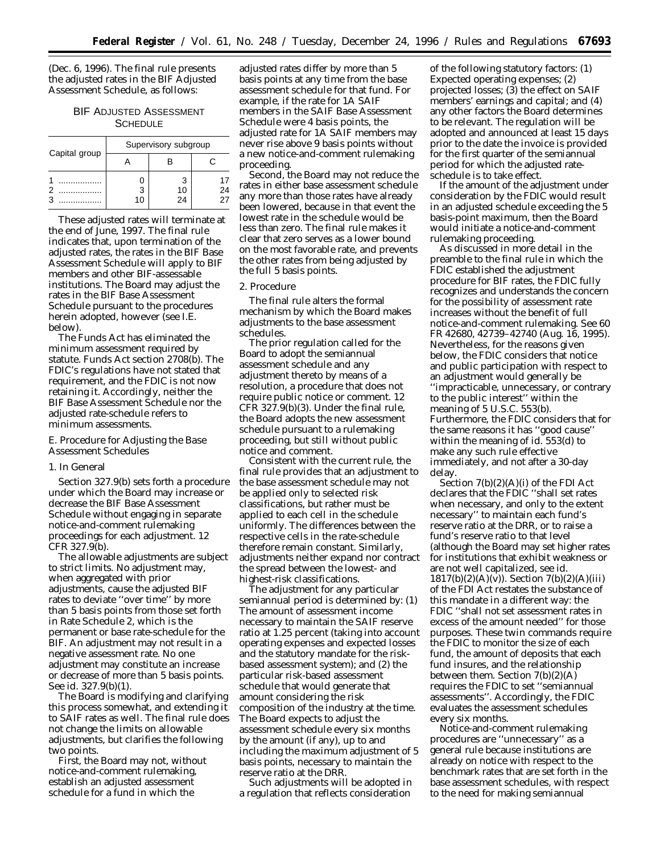(Dec. 6, 1996). The final rule presents the adjusted rates in the BIF Adjusted Assessment Schedule, as follows:

## BIF ADJUSTED ASSESSMENT **SCHEDULE**

|               | Supervisory subgroup |          |     |  |  |
|---------------|----------------------|----------|-----|--|--|
| Capital group |                      |          | . r |  |  |
|               | 3<br>10              | 10<br>24 | 24  |  |  |

These adjusted rates will terminate at the end of June, 1997. The final rule indicates that, upon termination of the adjusted rates, the rates in the BIF Base Assessment Schedule will apply to BIF members and other BIF-assessable institutions. The Board may adjust the rates in the BIF Base Assessment Schedule pursuant to the procedures herein adopted, however (see I.E. below).

The Funds Act has eliminated the minimum assessment required by statute. Funds Act section 2708(b). The FDIC's regulations have not stated that requirement, and the FDIC is not now retaining it. Accordingly, neither the BIF Base Assessment Schedule nor the adjusted rate-schedule refers to minimum assessments.

#### *E. Procedure for Adjusting the Base Assessment Schedules*

#### 1. In General

Section 327.9(b) sets forth a procedure under which the Board may increase or decrease the BIF Base Assessment Schedule without engaging in separate notice-and-comment rulemaking proceedings for each adjustment. 12 CFR 327.9(b).

The allowable adjustments are subject to strict limits. No adjustment may, when aggregated with prior adjustments, cause the adjusted BIF rates to deviate ''over time'' by more than 5 basis points from those set forth in Rate Schedule 2, which is the permanent or base rate-schedule for the BIF. An adjustment may not result in a negative assessment rate. No one adjustment may constitute an increase or decrease of more than 5 basis points. See *id.* 327.9(b)(1).

The Board is modifying and clarifying this process somewhat, and extending it to SAIF rates as well. The final rule does not change the limits on allowable adjustments, but clarifies the following two points.

First, the Board may not, without notice-and-comment rulemaking, establish an adjusted assessment schedule for a fund in which the

adjusted rates differ by more than 5 basis points at any time from the base assessment schedule for that fund. For example, if the rate for 1A SAIF members in the SAIF Base Assessment Schedule were 4 basis points, the adjusted rate for 1A SAIF members may never rise above 9 basis points without a new notice-and-comment rulemaking proceeding.

Second, the Board may not reduce the rates in either base assessment schedule any more than those rates have already been lowered, because in that event the lowest rate in the schedule would be less than zero. The final rule makes it clear that zero serves as a lower bound on the most favorable rate, and prevents the other rates from being adjusted by the full 5 basis points.

#### 2. Procedure

The final rule alters the formal mechanism by which the Board makes adjustments to the base assessment schedules.

The prior regulation called for the Board to adopt the semiannual assessment schedule and any adjustment thereto by means of a resolution, a procedure that does not require public notice or comment. 12 CFR 327.9(b)(3). Under the final rule, the Board adopts the new assessment schedule pursuant to a rulemaking proceeding, but still without public notice and comment.

Consistent with the current rule, the final rule provides that an adjustment to the base assessment schedule may not be applied only to selected risk classifications, but rather must be applied to each cell in the schedule uniformly. The differences between the respective cells in the rate-schedule therefore remain constant. Similarly, adjustments neither expand nor contract the spread between the lowest- and highest-risk classifications.

The adjustment for any particular semiannual period is determined by: (1) The amount of assessment income necessary to maintain the SAIF reserve ratio at 1.25 percent (taking into account operating expenses and expected losses and the statutory mandate for the riskbased assessment system); and (2) the particular risk-based assessment schedule that would generate that amount considering the risk composition of the industry at the time. The Board expects to adjust the assessment schedule every six months by the amount (if any), up to and including the maximum adjustment of 5 basis points, necessary to maintain the reserve ratio at the DRR.

Such adjustments will be adopted in a regulation that reflects consideration

of the following statutory factors: (1) Expected operating expenses; (2) projected losses; (3) the effect on SAIF members' earnings and capital; and (4) any other factors the Board determines to be relevant. The regulation will be adopted and announced at least 15 days prior to the date the invoice is provided for the first quarter of the semiannual period for which the adjusted rateschedule is to take effect.

If the amount of the adjustment under consideration by the FDIC would result in an adjusted schedule exceeding the 5 basis-point maximum, then the Board would initiate a notice-and-comment rulemaking proceeding.

As discussed in more detail in the preamble to the final rule in which the FDIC established the adjustment procedure for BIF rates, the FDIC fully recognizes and understands the concern for the possibility of assessment rate increases without the benefit of full notice-and-comment rulemaking. See 60 FR 42680, 42739–42740 (Aug. 16, 1995). Nevertheless, for the reasons given below, the FDIC considers that notice and public participation with respect to an adjustment would generally be ''impracticable, unnecessary, or contrary to the public interest'' within the meaning of 5 U.S.C. 553(b). Furthermore, the FDIC considers that for the same reasons it has ''good cause'' within the meaning of *id.* 553(d) to make any such rule effective immediately, and not after a 30-day delay.

Section 7(b)(2)(A)(i) of the FDI Act declares that the FDIC ''shall set rates when necessary, and only to the extent necessary'' to maintain each fund's reserve ratio at the DRR, or to raise a fund's reserve ratio to that level (although the Board may set higher rates for institutions that exhibit weakness or are not well capitalized, see *id.* 1817(b)(2)(A)(v)). Section 7(b)(2)(A)(iii) of the FDI Act restates the substance of this mandate in a different way: the FDIC ''shall not set assessment rates in excess of the amount needed'' for those purposes. These twin commands require the FDIC to monitor the size of each fund, the amount of deposits that each fund insures, and the relationship between them. Section 7(b)(2)(A) requires the FDIC to set ''semiannual assessments''. Accordingly, the FDIC evaluates the assessment schedules every six months.

Notice-and-comment rulemaking procedures are ''unnecessary'' as a general rule because institutions are already on notice with respect to the benchmark rates that are set forth in the base assessment schedules, with respect to the need for making semiannual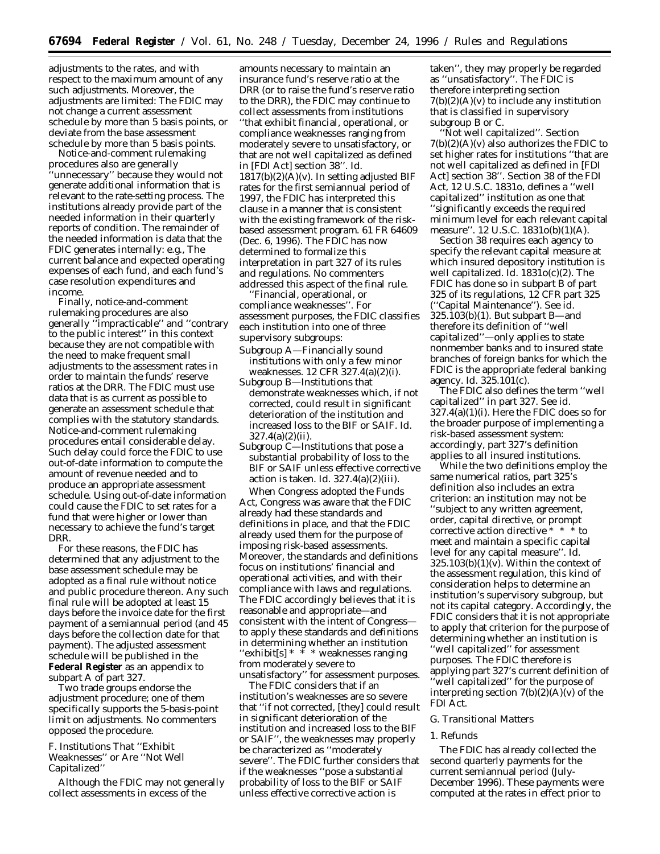adjustments to the rates, and with respect to the maximum amount of any such adjustments. Moreover, the adjustments are limited: The FDIC may not change a current assessment schedule by more than 5 basis points, or deviate from the base assessment schedule by more than 5 basis points.

Notice-and-comment rulemaking procedures also are generally 'unnecessary'' because they would not generate additional information that is relevant to the rate-setting process. The institutions already provide part of the needed information in their quarterly reports of condition. The remainder of the needed information is data that the FDIC generates internally: *e.g.,* The current balance and expected operating expenses of each fund, and each fund's case resolution expenditures and income.

Finally, notice-and-comment rulemaking procedures are also generally ''impracticable'' and ''contrary to the public interest'' in this context because they are not compatible with the need to make frequent small adjustments to the assessment rates in order to maintain the funds' reserve ratios at the DRR. The FDIC must use data that is as current as possible to generate an assessment schedule that complies with the statutory standards. Notice-and-comment rulemaking procedures entail considerable delay. Such delay could force the FDIC to use out-of-date information to compute the amount of revenue needed and to produce an appropriate assessment schedule. Using out-of-date information could cause the FDIC to set rates for a fund that were higher or lower than necessary to achieve the fund's target DRR.

For these reasons, the FDIC has determined that any adjustment to the base assessment schedule may be adopted as a final rule without notice and public procedure thereon. Any such final rule will be adopted at least 15 days before the invoice date for the first payment of a semiannual period (and 45 days before the collection date for that payment). The adjusted assessment schedule will be published in the **Federal Register** as an appendix to subpart A of part 327.

Two trade groups endorse the adjustment procedure; one of them specifically supports the 5-basis-point limit on adjustments. No commenters opposed the procedure.

## *F. Institutions That ''Exhibit Weaknesses'' or Are ''Not Well Capitalized''*

Although the FDIC may not generally collect assessments in excess of the

amounts necessary to maintain an insurance fund's reserve ratio at the DRR (or to raise the fund's reserve ratio to the DRR), the FDIC may continue to collect assessments from institutions ''that exhibit financial, operational, or compliance weaknesses ranging from moderately severe to unsatisfactory, or that are not well capitalized as defined in [FDI Act] section 38''. *Id.*  $1817(b)(2)(A)(v)$ . In setting adjusted BIF rates for the first semiannual period of 1997, the FDIC has interpreted this clause in a manner that is consistent with the existing framework of the riskbased assessment program. 61 FR 64609 (Dec. 6, 1996). The FDIC has now determined to formalize this interpretation in part 327 of its rules and regulations. No commenters addressed this aspect of the final rule.

''Financial, operational, or compliance weaknesses''. For assessment purposes, the FDIC classifies each institution into one of three supervisory subgroups:

- Subgroup A—Financially sound institutions with only a few minor weaknesses. 12 CFR 327.4(a)(2)(i).
- Subgroup B—Institutions that demonstrate weaknesses which, if not corrected, could result in significant deterioration of the institution and increased loss to the BIF or SAIF. *Id.* 327.4(a)(2)(ii).
- Subgroup C—Institutions that pose a substantial probability of loss to the BIF or SAIF unless effective corrective action is taken. *Id.* 327.4(a)(2)(iii). When Congress adopted the Funds

Act, Congress was aware that the FDIC already had these standards and definitions in place, and that the FDIC already used them for the purpose of imposing risk-based assessments. Moreover, the standards and definitions focus on institutions' financial and operational activities, and with their compliance with laws and regulations. The FDIC accordingly believes that it is reasonable and appropriate—and consistent with the intent of Congress to apply these standards and definitions in determining whether an institution ''exhibit[s] \* \* \* weaknesses ranging from moderately severe to unsatisfactory'' for assessment purposes.

The FDIC considers that if an institution's weaknesses are so severe that ''if not corrected, [they] could result in significant deterioration of the institution and increased loss to the BIF or SAIF'', the weaknesses may properly be characterized as ''moderately severe''. The FDIC further considers that if the weaknesses ''pose a substantial probability of loss to the BIF or SAIF unless effective corrective action is

taken'', they may properly be regarded as ''unsatisfactory''. The FDIC is therefore interpreting section  $7(b)(2)(A)(v)$  to include any institution that is classified in supervisory subgroup B or C.

''Not well capitalized''. Section  $7(b)(2)(A)(v)$  also authorizes the FDIC to set higher rates for institutions ''that are not well capitalized as defined in [FDI Act] section 38''. Section 38 of the FDI Act, 12 U.S.C. 1831o, defines a ''well capitalized'' institution as one that ''significantly exceeds the required minimum level for each relevant capital measure''. 12 U.S.C. 1831o(b)(1)(A).

Section 38 requires each agency to specify the relevant capital measure at which insured depository institution is well capitalized. *Id.* 1831o(c)(2). The FDIC has done so in subpart B of part 325 of its regulations, 12 CFR part 325 (''Capital Maintenance''). See *id.* 325.103(b)(1). But subpart B—and therefore its definition of ''well capitalized''—only applies to state nonmember banks and to insured state branches of foreign banks for which the FDIC is the appropriate federal banking agency. *Id.* 325.101(c).

The FDIC also defines the term ''well capitalized'' in part 327. See *id.* 327.4(a)(1)(i). Here the FDIC does so for the broader purpose of implementing a risk-based assessment system: accordingly, part 327's definition applies to all insured institutions.

While the two definitions employ the same numerical ratios, part 325's definition also includes an extra criterion: an institution may not be ''subject to any written agreement, order, capital directive, or prompt corrective action directive  $* * *$  to meet and maintain a specific capital level for any capital measure''. *Id.*  $325.103(b)(1)(v)$ . Within the context of the assessment regulation, this kind of consideration helps to determine an institution's supervisory subgroup, but not its capital category. Accordingly, the FDIC considers that it is not appropriate to apply that criterion for the purpose of determining whether an institution is ''well capitalized'' for assessment purposes. The FDIC therefore is applying part 327's current definition of ''well capitalized'' for the purpose of interpreting section  $7(b)(2)(A)(v)$  of the FDI Act.

#### *G. Transitional Matters*

#### 1. Refunds

The FDIC has already collected the second quarterly payments for the current semiannual period (July-December 1996). These payments were computed at the rates in effect prior to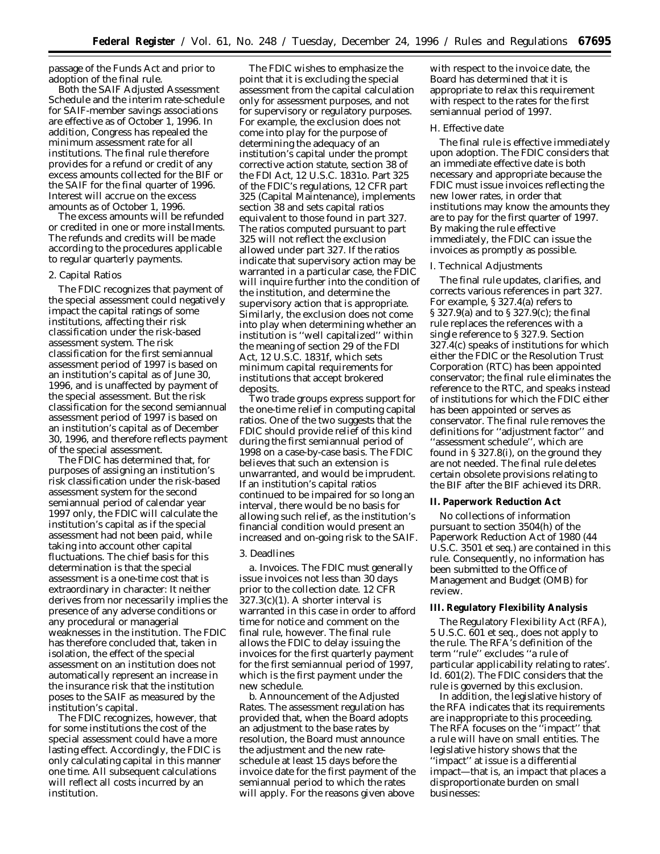passage of the Funds Act and prior to adoption of the final rule.

Both the SAIF Adjusted Assessment Schedule and the interim rate-schedule for SAIF-member savings associations are effective as of October 1, 1996. In addition, Congress has repealed the minimum assessment rate for all institutions. The final rule therefore provides for a refund or credit of any excess amounts collected for the BIF or the SAIF for the final quarter of 1996. Interest will accrue on the excess amounts as of October 1, 1996.

The excess amounts will be refunded or credited in one or more installments. The refunds and credits will be made according to the procedures applicable to regular quarterly payments.

#### 2. Capital Ratios

The FDIC recognizes that payment of the special assessment could negatively impact the capital ratings of some institutions, affecting their risk classification under the risk-based assessment system. The risk classification for the first semiannual assessment period of 1997 is based on an institution's capital as of June 30, 1996, and is unaffected by payment of the special assessment. But the risk classification for the second semiannual assessment period of 1997 is based on an institution's capital as of December 30, 1996, and therefore reflects payment of the special assessment.

The FDIC has determined that, for purposes of assigning an institution's risk classification under the risk-based assessment system for the second semiannual period of calendar year 1997 only, the FDIC will calculate the institution's capital as if the special assessment had not been paid, while taking into account other capital fluctuations. The chief basis for this determination is that the special assessment is a one-time cost that is extraordinary in character: It neither derives from nor necessarily implies the presence of any adverse conditions or any procedural or managerial weaknesses in the institution. The FDIC has therefore concluded that, taken in isolation, the effect of the special assessment on an institution does not automatically represent an increase in the insurance risk that the institution poses to the SAIF as measured by the institution's capital.

The FDIC recognizes, however, that for some institutions the cost of the special assessment could have a more lasting effect. Accordingly, the FDIC is only calculating capital in this manner one time. All subsequent calculations will reflect all costs incurred by an institution.

The FDIC wishes to emphasize the point that it is excluding the special assessment from the capital calculation only for assessment purposes, and not for supervisory or regulatory purposes. For example, the exclusion does not come into play for the purpose of determining the adequacy of an institution's capital under the prompt corrective action statute, section 38 of the FDI Act, 12 U.S.C. 1831o. Part 325 of the FDIC's regulations, 12 CFR part 325 (Capital Maintenance), implements section 38 and sets capital ratios equivalent to those found in part 327. The ratios computed pursuant to part 325 will not reflect the exclusion allowed under part 327. If the ratios indicate that supervisory action may be warranted in a particular case, the FDIC will inquire further into the condition of the institution, and determine the supervisory action that is appropriate. Similarly, the exclusion does not come into play when determining whether an institution is ''well capitalized'' within the meaning of section 29 of the FDI Act, 12 U.S.C. 1831f, which sets minimum capital requirements for institutions that accept brokered deposits.

Two trade groups express support for the one-time relief in computing capital ratios. One of the two suggests that the FDIC should provide relief of this kind during the first semiannual period of 1998 on a case-by-case basis. The FDIC believes that such an extension is unwarranted, and would be imprudent. If an institution's capital ratios continued to be impaired for so long an interval, there would be no basis for allowing such relief, as the institution's financial condition would present an increased and on-going risk to the SAIF.

#### 3. Deadlines

*a. Invoices.* The FDIC must generally issue invoices not less than 30 days prior to the collection date. 12 CFR 327.3(c)(1). A shorter interval is warranted in this case in order to afford time for notice and comment on the final rule, however. The final rule allows the FDIC to delay issuing the invoices for the first quarterly payment for the first semiannual period of 1997, which is the first payment under the new schedule.

*b. Announcement of the Adjusted Rates.* The assessment regulation has provided that, when the Board adopts an adjustment to the base rates by resolution, the Board must announce the adjustment and the new rateschedule at least 15 days before the invoice date for the first payment of the semiannual period to which the rates will apply. For the reasons given above

with respect to the invoice date, the Board has determined that it is appropriate to relax this requirement with respect to the rates for the first semiannual period of 1997.

## *H. Effective date*

The final rule is effective immediately upon adoption. The FDIC considers that an immediate effective date is both necessary and appropriate because the FDIC must issue invoices reflecting the new lower rates, in order that institutions may know the amounts they are to pay for the first quarter of 1997. By making the rule effective immediately, the FDIC can issue the invoices as promptly as possible.

#### *I. Technical Adjustments*

The final rule updates, clarifies, and corrects various references in part 327. For example, § 327.4(a) refers to § 327.9(a) and to § 327.9(c); the final rule replaces the references with a single reference to § 327.9. Section 327.4(c) speaks of institutions for which either the FDIC or the Resolution Trust Corporation (RTC) has been appointed conservator; the final rule eliminates the reference to the RTC, and speaks instead of institutions for which the FDIC either has been appointed or serves as conservator. The final rule removes the definitions for ''adjustment factor'' and ''assessment schedule'', which are found in § 327.8(i), on the ground they are not needed. The final rule deletes certain obsolete provisions relating to the BIF after the BIF achieved its DRR.

#### **II. Paperwork Reduction Act**

No collections of information pursuant to section 3504(h) of the Paperwork Reduction Act of 1980 (44 U.S.C. 3501 *et seq.*) are contained in this rule. Consequently, no information has been submitted to the Office of Management and Budget (OMB) for review.

#### **III. Regulatory Flexibility Analysis**

The Regulatory Flexibility Act (RFA), 5 U.S.C. 601 *et seq.*, does not apply to the rule. The RFA's definition of the term ''rule'' excludes ''a rule of particular applicability relating to rates'. *Id.* 601(2). The FDIC considers that the rule is governed by this exclusion.

In addition, the legislative history of the RFA indicates that its requirements are inappropriate to this proceeding. The RFA focuses on the ''impact'' that a rule will have on small entities. The legislative history shows that the ''impact'' at issue is a differential impact—that is, an impact that places a disproportionate burden on small businesses: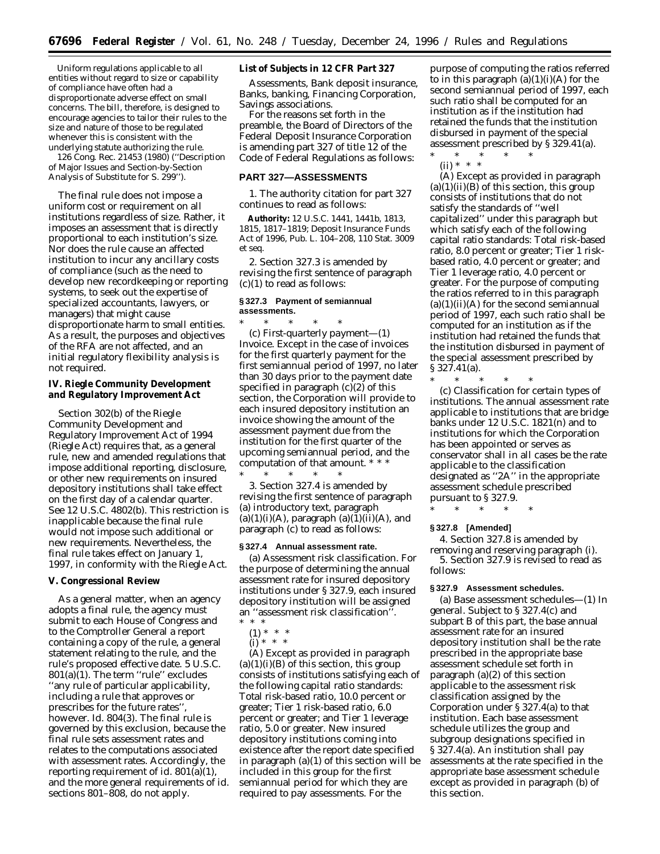Uniform regulations applicable to all entities without regard to size or capability of compliance have often had a disproportionate adverse effect on small concerns. The bill, therefore, is designed to encourage agencies to tailor their rules to the size and nature of those to be regulated whenever this is consistent with the underlying statute authorizing the rule.

126 Cong. Rec. 21453 (1980) (''Description of Major Issues and Section-by-Section Analysis of Substitute for S. 299'').

The final rule does not impose a uniform cost or requirement on all institutions regardless of size. Rather, it imposes an assessment that is directly proportional to each institution's size. Nor does the rule cause an affected institution to incur any ancillary costs of compliance (such as the need to develop new recordkeeping or reporting systems, to seek out the expertise of specialized accountants, lawyers, or managers) that might cause disproportionate harm to small entities. As a result, the purposes and objectives of the RFA are not affected, and an initial regulatory flexibility analysis is not required.

**IV. Riegle Community Development and Regulatory Improvement Act**

Section 302(b) of the Riegle Community Development and Regulatory Improvement Act of 1994 (Riegle Act) requires that, as a general rule, new and amended regulations that impose additional reporting, disclosure, or other new requirements on insured depository institutions shall take effect on the first day of a calendar quarter. See 12 U.S.C. 4802(b). This restriction is inapplicable because the final rule would not impose such additional or new requirements. Nevertheless, the final rule takes effect on January 1, 1997, in conformity with the Riegle Act.

#### **V. Congressional Review**

As a general matter, when an agency adopts a final rule, the agency must submit to each House of Congress and to the Comptroller General a report containing a copy of the rule, a general statement relating to the rule, and the rule's proposed effective date. 5 U.S.C. 801(a)(1). The term ''rule'' excludes ''any rule of particular applicability, including a rule that approves or prescribes for the future rates'', however. *Id.* 804(3). The final rule is governed by this exclusion, because the final rule sets assessment rates and relates to the computations associated with assessment rates. Accordingly, the reporting requirement of *id.* 801(a)(1), and the more general requirements of *id.* sections 801–808, do not apply.

**List of Subjects in 12 CFR Part 327**

Assessments, Bank deposit insurance, Banks, banking, Financing Corporation, Savings associations.

For the reasons set forth in the preamble, the Board of Directors of the Federal Deposit Insurance Corporation is amending part 327 of title 12 of the Code of Federal Regulations as follows:

#### **PART 327—ASSESSMENTS**

1. The authority citation for part 327 continues to read as follows:

**Authority:** 12 U.S.C. 1441, 1441b, 1813, 1815, 1817–1819; Deposit Insurance Funds Act of 1996, Pub. L. 104–208, 110 Stat. 3009 *et seq.*

2. Section 327.3 is amended by revising the first sentence of paragraph  $(c)(1)$  to read as follows:

#### **§ 327.3 Payment of semiannual assessments.**

\* \* \* \* \* (c) *First-quarterly payment—*(1) *Invoice.* Except in the case of invoices for the first quarterly payment for the first semiannual period of 1997, no later than 30 days prior to the payment date specified in paragraph  $(c)(2)$  of this section, the Corporation will provide to each insured depository institution an invoice showing the amount of the assessment payment due from the institution for the first quarter of the upcoming semiannual period, and the computation of that amount. \* \* \*

\* \* \* \* \* 3. Section 327.4 is amended by revising the first sentence of paragraph (a) introductory text, paragraph (a)(1)(i)(A), paragraph (a)(1)(ii)(A), and paragraph (c) to read as follows:

#### **§ 327.4 Annual assessment rate.**

(a) *Assessment risk classification.* For the purpose of determining the annual assessment rate for insured depository institutions under § 327.9, each insured depository institution will be assigned an ''assessment risk classification''. \* \* \*

- $(1) * * * *$
- $(i)$ <sup>'\*</sup> \* \*

(A) Except as provided in paragraph  $(a)(1)(i)(B)$  of this section, this group consists of institutions satisfying each of the following capital ratio standards: Total risk-based ratio, 10.0 percent or greater; Tier 1 risk-based ratio, 6.0 percent or greater; and Tier 1 leverage ratio, 5.0 or greater. New insured depository institutions coming into existence after the report date specified in paragraph (a)(1) of this section will be included in this group for the first semiannual period for which they are required to pay assessments. For the

purpose of computing the ratios referred to in this paragraph  $(a)(1)(i)(A)$  for the second semiannual period of 1997, each such ratio shall be computed for an institution as if the institution had retained the funds that the institution disbursed in payment of the special assessment prescribed by § 329.41(a).<br>\* \* \* \* \* \* \*

\* \* \* \* \* (ii) \* \* \*

(A) Except as provided in paragraph  $(a)(1)(ii)(B)$  of this section, this group consists of institutions that do not satisfy the standards of ''well capitalized'' under this paragraph but which satisfy each of the following capital ratio standards: Total risk-based ratio, 8.0 percent or greater; Tier 1 riskbased ratio, 4.0 percent or greater; and Tier 1 leverage ratio, 4.0 percent or greater. For the purpose of computing the ratios referred to in this paragraph  $(a)(1)(ii)(A)$  for the second semiannual period of 1997, each such ratio shall be computed for an institution as if the institution had retained the funds that the institution disbursed in payment of the special assessment prescribed by § 327.41(a).

\* \* \* \* \* (c) *Classification for certain types of institutions.* The annual assessment rate applicable to institutions that are bridge banks under 12 U.S.C. 1821(n) and to institutions for which the Corporation has been appointed or serves as conservator shall in all cases be the rate applicable to the classification designated as ''2A'' in the appropriate assessment schedule prescribed pursuant to § 327.9.

\* \* \* \* \*

## **§ 327.8 [Amended]**

4. Section 327.8 is amended by removing and reserving paragraph (i). 5. Section 327.9 is revised to read as

follows:

## **§ 327.9 Assessment schedules.**

(a) *Base assessment schedules—*(1) *In general.* Subject to § 327.4(c) and subpart B of this part, the base annual assessment rate for an insured depository institution shall be the rate prescribed in the appropriate base assessment schedule set forth in paragraph (a)(2) of this section applicable to the assessment risk classification assigned by the Corporation under § 327.4(a) to that institution. Each base assessment schedule utilizes the group and subgroup designations specified in § 327.4(a). An institution shall pay assessments at the rate specified in the appropriate base assessment schedule except as provided in paragraph (b) of this section.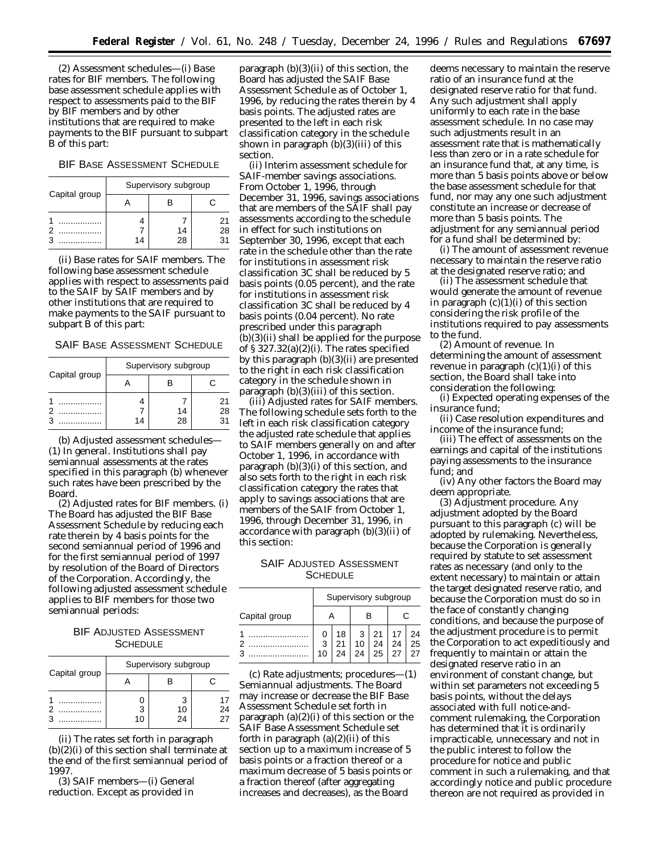(2) *Assessment schedules—*(i) *Base rates for BIF members.* The following base assessment schedule applies with respect to assessments paid to the BIF by BIF members and by other institutions that are required to make payments to the BIF pursuant to subpart B of this part:

#### BIF BASE ASSESSMENT SCHEDULE

| Capital group | Supervisory subgroup |          |          |  |  |
|---------------|----------------------|----------|----------|--|--|
|               |                      |          |          |  |  |
|               | 14                   | 14<br>28 | 21<br>28 |  |  |

(ii) *Base rates for SAIF members.* The following base assessment schedule applies with respect to assessments paid to the SAIF by SAIF members and by other institutions that are required to make payments to the SAIF pursuant to subpart B of this part:

#### SAIF BASE ASSESSMENT SCHEDULE

| Supervisory subgroup |          |                |  |  |  |  |  |
|----------------------|----------|----------------|--|--|--|--|--|
|                      |          | C.             |  |  |  |  |  |
| 14                   | 14<br>28 | 21<br>28<br>31 |  |  |  |  |  |
|                      |          |                |  |  |  |  |  |

(b) *Adjusted assessment schedules—* (1) *In general.* Institutions shall pay semiannual assessments at the rates specified in this paragraph (b) whenever such rates have been prescribed by the Board.

(2) *Adjusted rates for BIF members.* (i) The Board has adjusted the BIF Base Assessment Schedule by reducing each rate therein by 4 basis points for the second semiannual period of 1996 and for the first semiannual period of 1997 by resolution of the Board of Directors of the Corporation. Accordingly, the following adjusted assessment schedule applies to BIF members for those two semiannual periods:

## BIF ADJUSTED ASSESSMENT **SCHEDULE**

| Capital group | Supervisory subgroup |               |    |  |  |  |
|---------------|----------------------|---------------|----|--|--|--|
|               |                      |               | C. |  |  |  |
|               | 10                   | 3<br>10<br>24 | 24 |  |  |  |

(ii) The rates set forth in paragraph  $(b)(2)(i)$  of this section shall terminate at the end of the first semiannual period of 1997.

(3) *SAIF members*—(i) *General reduction.* Except as provided in

paragraph (b)(3)(ii) of this section, the Board has adjusted the SAIF Base Assessment Schedule as of October 1, 1996, by reducing the rates therein by 4 basis points. The adjusted rates are presented to the left in each risk classification category in the schedule shown in paragraph (b)(3)(iii) of this section.

(ii) *Interim assessment schedule for SAIF-member savings associations.* From October 1, 1996, through December 31, 1996, savings associations that are members of the SAIF shall pay assessments according to the schedule in effect for such institutions on September 30, 1996, except that each rate in the schedule other than the rate for institutions in assessment risk classification 3C shall be reduced by 5 basis points (0.05 percent), and the rate for institutions in assessment risk classification 3C shall be reduced by 4 basis points (0.04 percent). No rate prescribed under this paragraph  $(b)(3)(ii)$  shall be applied for the purpose of  $\S 327.32(a)(2)(i)$ . The rates specified by this paragraph (b)(3)(ii) are presented to the right in each risk classification category in the schedule shown in paragraph (b)(3)(iii) of this section.

(iii) *Adjusted rates for SAIF members.* The following schedule sets forth to the left in each risk classification category the adjusted rate schedule that applies to SAIF members generally on and after October 1, 1996, in accordance with paragraph (b)(3)(i) of this section, and also sets forth to the right in each risk classification category the rates that apply to savings associations that are members of the SAIF from October 1, 1996, through December 31, 1996, in accordance with paragraph (b)(3)(ii) of this section:

## SAIF ADJUSTED ASSESSMENT **SCHEDULE**

|               | Supervisory subgroup |                |                       |                                                                                  |  |                |
|---------------|----------------------|----------------|-----------------------|----------------------------------------------------------------------------------|--|----------------|
| Capital group |                      |                |                       |                                                                                  |  |                |
|               | 10                   | 18<br>21<br>24 | 10 <sup>1</sup><br>24 | $\begin{array}{c c c}\n3 & 21 & 17 \\ 10 & 24 & 24 \\ 24 & 25 & 27\n\end{array}$ |  | 24<br>25<br>27 |

(c) *Rate adjustments; procedures*—(1) *Semiannual adjustments.* The Board may increase or decrease the BIF Base Assessment Schedule set forth in paragraph  $(a)(2)(i)$  of this section or the SAIF Base Assessment Schedule set forth in paragraph  $(a)(2)(ii)$  of this section up to a maximum increase of 5 basis points or a fraction thereof or a maximum decrease of 5 basis points or a fraction thereof (after aggregating increases and decreases), as the Board

deems necessary to maintain the reserve ratio of an insurance fund at the designated reserve ratio for that fund. Any such adjustment shall apply uniformly to each rate in the base assessment schedule. In no case may such adjustments result in an assessment rate that is mathematically less than zero or in a rate schedule for an insurance fund that, at any time, is more than 5 basis points above or below the base assessment schedule for that fund, nor may any one such adjustment constitute an increase or decrease of more than 5 basis points. The adjustment for any semiannual period for a fund shall be determined by:

(i) The amount of assessment revenue necessary to maintain the reserve ratio at the designated reserve ratio; and

(ii) The assessment schedule that would generate the amount of revenue in paragraph  $(c)(1)(i)$  of this section considering the risk profile of the institutions required to pay assessments to the fund.

(2) *Amount of revenue.* In determining the amount of assessment revenue in paragraph  $(c)(1)(i)$  of this section, the Board shall take into consideration the following:

(i) Expected operating expenses of the insurance fund;

(ii) Case resolution expenditures and income of the insurance fund;

(iii) The effect of assessments on the earnings and capital of the institutions paying assessments to the insurance fund; and

(iv) Any other factors the Board may deem appropriate.

(3) *Adjustment procedure.* Any adjustment adopted by the Board pursuant to this paragraph (c) will be adopted by rulemaking. Nevertheless, because the Corporation is generally required by statute to set assessment rates as necessary (and only to the extent necessary) to maintain or attain the target designated reserve ratio, and because the Corporation must do so in the face of constantly changing conditions, and because the purpose of the adjustment procedure is to permit the Corporation to act expeditiously and frequently to maintain or attain the designated reserve ratio in an environment of constant change, but within set parameters not exceeding 5 basis points, without the delays associated with full notice-andcomment rulemaking, the Corporation has determined that it is ordinarily impracticable, unnecessary and not in the public interest to follow the procedure for notice and public comment in such a rulemaking, and that accordingly notice and public procedure thereon are not required as provided in